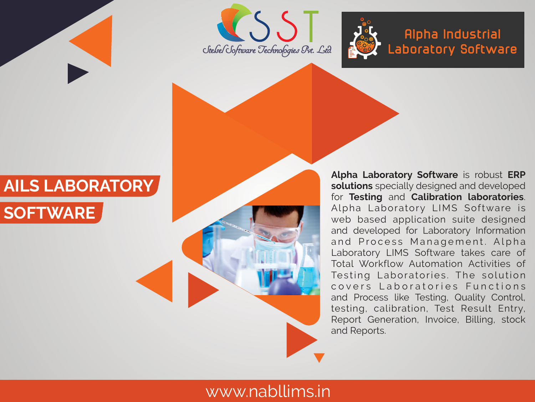





**Alpha Industrial Laboratory Software**

# **AILS LABORATORY**



**Alpha Laboratory Software** is robust **ERP solutions** specially designed and developed for **Testing** and **Calibration laboratories**. Alpha Laboratory LIMS Software is web based application suite designed and developed for Laboratory Information and Process Management. Alpha Laboratory LIMS Software takes care of Total Workflow Automation Activities of Testing Laboratories. The solution covers Laboratories Functions and Process like Testing, Quality Control, testing, calibration, Test Result Entry, Report Generation, Invoice, Billing, stock and Reports.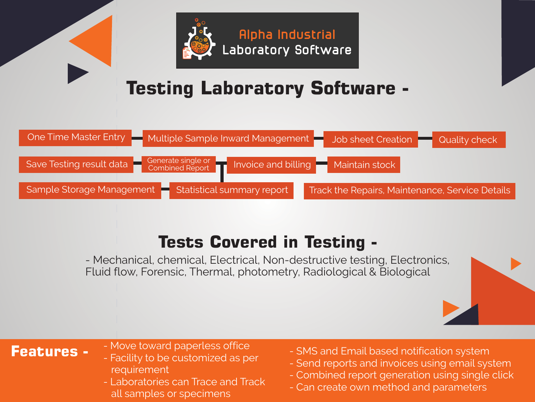

## **Testing Laboratory Software-**



## **Tests Covered in Testing -**

- Mechanical, chemical, Electrical, Non-destructive testing, Electronics, Fluid flow, Forensic, Thermal, photometry, Radiological & Biological

- **Features -** Move toward paperless office
	- Facility to be customized as per requirement
	- Laboratories can Trace and Track all samples or specimens
- SMS and Email based notification system
- Send reports and invoices using email system
- Combined report generation using single click
- Can create own method and parameters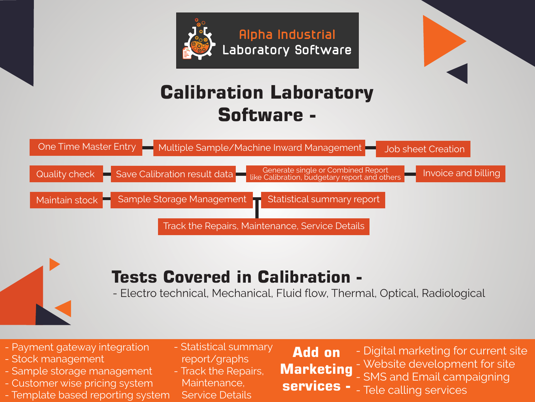



## **Calibration Laboratory Software-**





### **Tests Covered in Calibration -**

- Electro technical, Mechanical, Fluid flow, Thermal, Optical, Radiological

- Payment gateway integration
- Stock management
- Sample storage management
- Customer wise pricing system
- Template based reporting system
- Statistical summary report/graphs
- Track the Repairs, Maintenance,
- Service Details
- **Add on Marketing services -**
- Digital marketing for current site - Website development for site - SMS and Email campaigning - Tele calling services